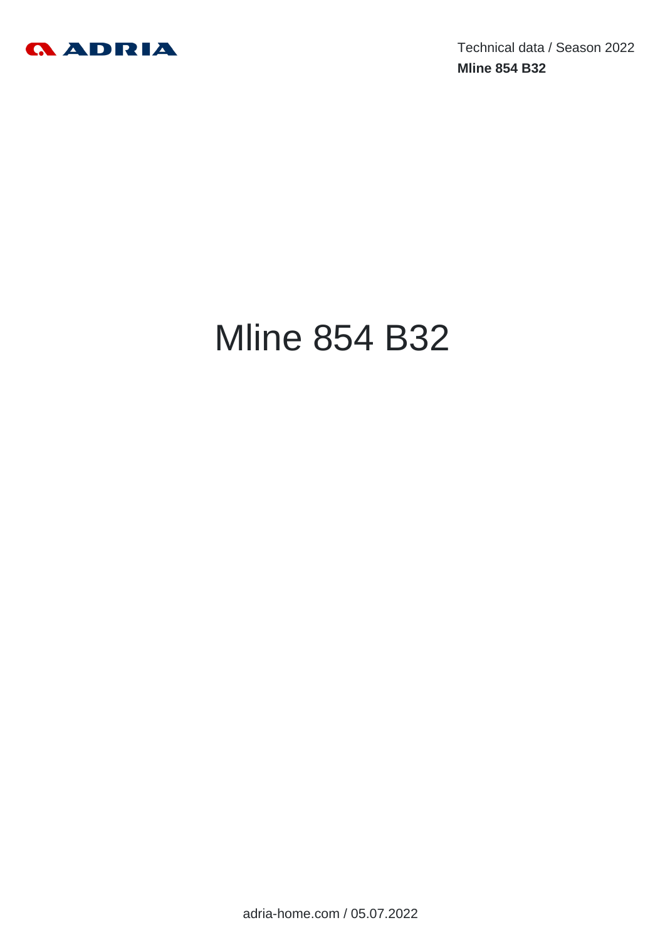

Technical data / Season 2022 **Mline 854 B32**

# Mline 854 B32

adria-home.com / 05.07.2022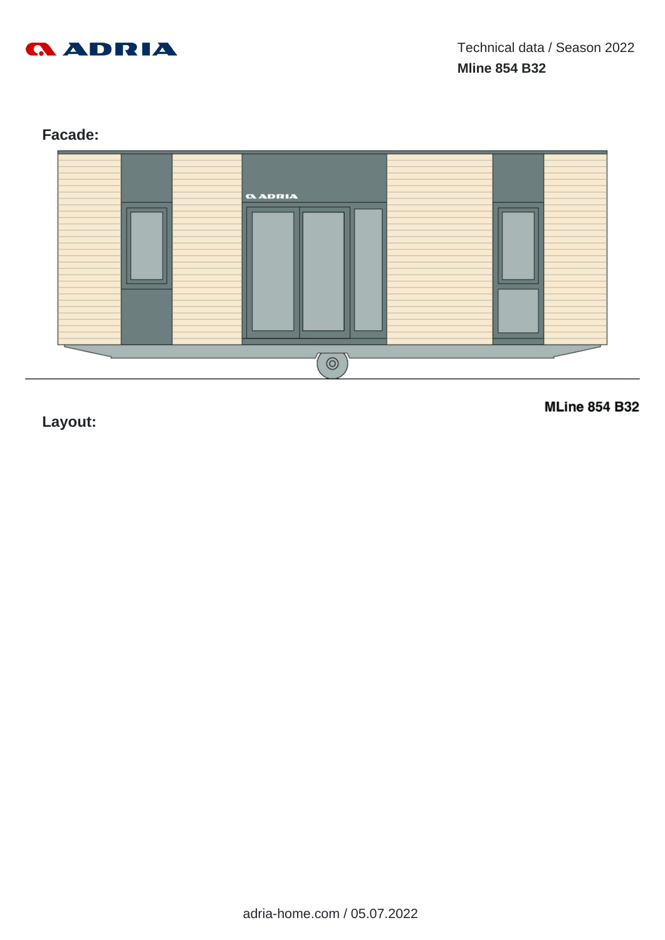

# **Facade:**



**Layout:**

**MLine 854 B32**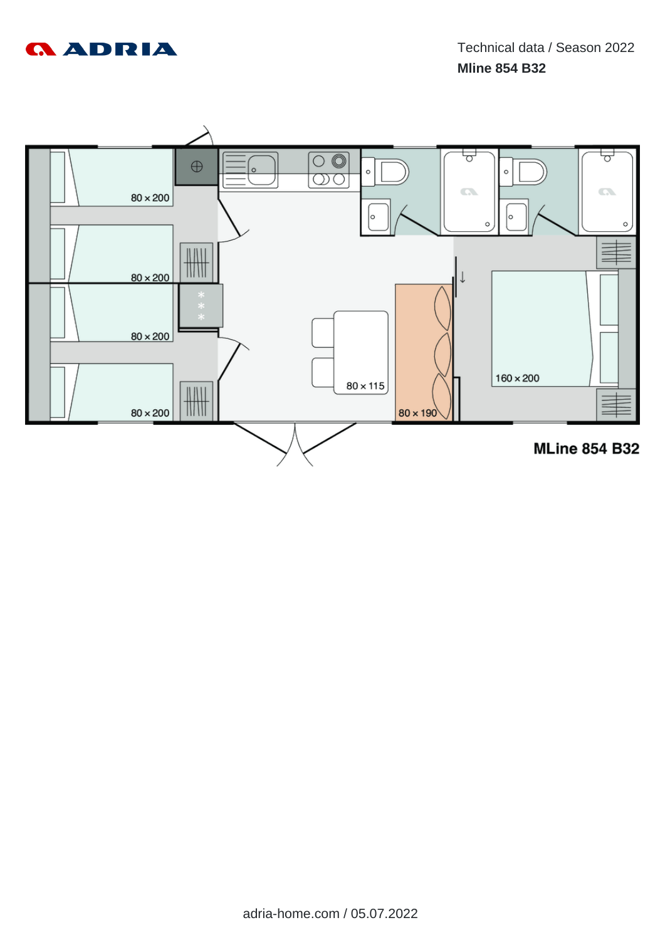

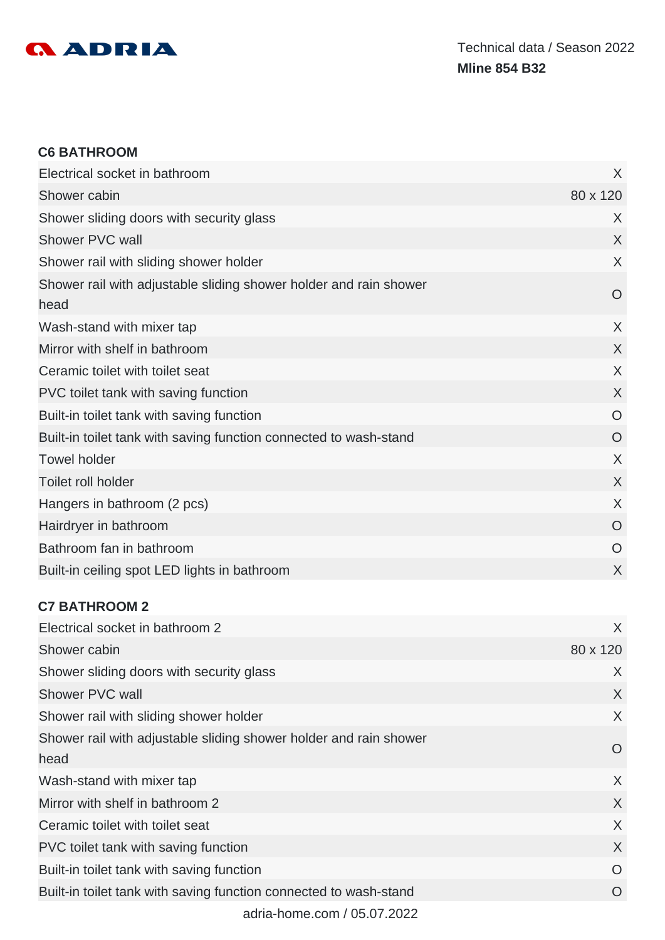

#### **C6 BATHROOM**

| Electrical socket in bathroom                                             | X              |
|---------------------------------------------------------------------------|----------------|
| Shower cabin                                                              | 80 x 120       |
| Shower sliding doors with security glass                                  | X              |
| Shower PVC wall                                                           | X              |
| Shower rail with sliding shower holder                                    | X              |
| Shower rail with adjustable sliding shower holder and rain shower<br>head | O              |
| Wash-stand with mixer tap                                                 | X              |
| Mirror with shelf in bathroom                                             | X              |
| Ceramic toilet with toilet seat                                           | X              |
| PVC toilet tank with saving function                                      | X              |
| Built-in toilet tank with saving function                                 | O              |
| Built-in toilet tank with saving function connected to wash-stand         | $\overline{O}$ |
| <b>Towel holder</b>                                                       | X              |
| Toilet roll holder                                                        | X              |
| Hangers in bathroom (2 pcs)                                               | X              |
| Hairdryer in bathroom                                                     | O              |
| Bathroom fan in bathroom                                                  | O              |
| Built-in ceiling spot LED lights in bathroom                              | X              |

# **C7 BATHROOM 2**

| Electrical socket in bathroom 2                                           | X        |
|---------------------------------------------------------------------------|----------|
| Shower cabin                                                              | 80 x 120 |
| Shower sliding doors with security glass                                  | X        |
| Shower PVC wall                                                           | X        |
| Shower rail with sliding shower holder                                    | $\chi$   |
| Shower rail with adjustable sliding shower holder and rain shower<br>head | O        |
| Wash-stand with mixer tap                                                 | X        |
| Mirror with shelf in bathroom 2                                           | $\sf X$  |
| Ceramic toilet with toilet seat                                           | X        |
| PVC toilet tank with saving function                                      | X        |
| Built-in toilet tank with saving function                                 | O        |
| Built-in toilet tank with saving function connected to wash-stand         | $\Omega$ |
| $\sim$ dria herece sere LOE 07.0000                                       |          |

adria-home.com / 05.07.2022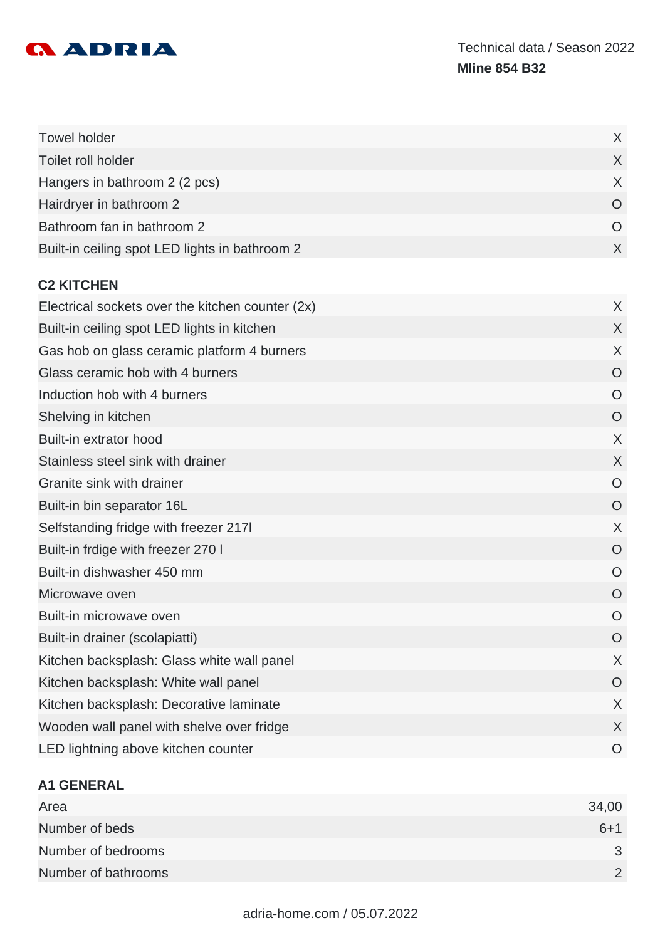

| <b>Towel holder</b>                              | X       |
|--------------------------------------------------|---------|
| Toilet roll holder                               | X       |
| Hangers in bathroom 2 (2 pcs)                    | $\chi$  |
| Hairdryer in bathroom 2                          | O       |
| Bathroom fan in bathroom 2                       | O       |
| Built-in ceiling spot LED lights in bathroom 2   | X       |
| <b>C2 KITCHEN</b>                                |         |
| Electrical sockets over the kitchen counter (2x) | X       |
| Built-in ceiling spot LED lights in kitchen      | X       |
| Gas hob on glass ceramic platform 4 burners      | X       |
| Glass ceramic hob with 4 burners                 | O       |
| Induction hob with 4 burners                     | O       |
| Shelving in kitchen                              | O       |
| Built-in extrator hood                           | $\chi$  |
| Stainless steel sink with drainer                | X       |
| Granite sink with drainer                        | Ő       |
| Built-in bin separator 16L                       | O       |
| Selfstanding fridge with freezer 217I            | X       |
| Built-in frdige with freezer 270 I               | O       |
| Built-in dishwasher 450 mm                       | O       |
| Microwave oven                                   | O       |
| Built-in microwave oven                          | O       |
| Built-in drainer (scolapiatti)                   | O       |
| Kitchen backsplash: Glass white wall panel       | X       |
| Kitchen backsplash: White wall panel             | $\circ$ |
| Kitchen backsplash: Decorative laminate          | X       |
| Wooden wall panel with shelve over fridge        | X       |
| LED lightning above kitchen counter              | O       |

# **A1 GENERAL**

| Area                | 34,00        |
|---------------------|--------------|
| Number of beds      | $6 + 1$      |
| Number of bedrooms  | $\mathbf{R}$ |
| Number of bathrooms |              |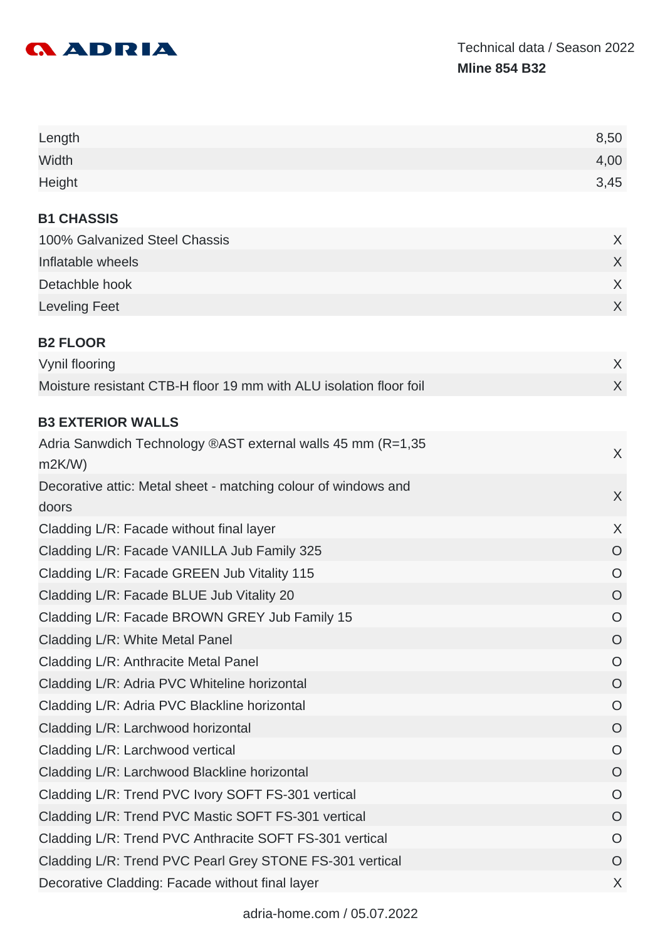

| Length                                                                  | 8,50           |
|-------------------------------------------------------------------------|----------------|
| Width                                                                   | 4,00           |
| Height                                                                  | 3,45           |
| <b>B1 CHASSIS</b>                                                       |                |
| 100% Galvanized Steel Chassis                                           | X              |
| Inflatable wheels                                                       | $\sf X$        |
| Detachble hook                                                          | X              |
| <b>Leveling Feet</b>                                                    | X              |
| <b>B2 FLOOR</b>                                                         |                |
| Vynil flooring                                                          | X              |
| Moisture resistant CTB-H floor 19 mm with ALU isolation floor foil      | X              |
| <b>B3 EXTERIOR WALLS</b>                                                |                |
| Adria Sanwdich Technology ®AST external walls 45 mm (R=1,35             |                |
| m2K/W                                                                   | X              |
| Decorative attic: Metal sheet - matching colour of windows and<br>doors | $\chi$         |
| Cladding L/R: Facade without final layer                                | X              |
| Cladding L/R: Facade VANILLA Jub Family 325                             | $\overline{O}$ |
| Cladding L/R: Facade GREEN Jub Vitality 115                             | $\circ$        |
| Cladding L/R: Facade BLUE Jub Vitality 20                               | $\overline{O}$ |
| Cladding L/R: Facade BROWN GREY Jub Family 15                           | $\circ$        |
| Cladding L/R: White Metal Panel                                         | $\circ$        |
| Cladding L/R: Anthracite Metal Panel                                    | $\circ$        |
| Cladding L/R: Adria PVC Whiteline horizontal                            | $\circ$        |
| Cladding L/R: Adria PVC Blackline horizontal                            | $\circ$        |
| Cladding L/R: Larchwood horizontal                                      | $\circ$        |
| Cladding L/R: Larchwood vertical                                        | $\circ$        |
| Cladding L/R: Larchwood Blackline horizontal                            | $\circ$        |
| Cladding L/R: Trend PVC Ivory SOFT FS-301 vertical                      | $\circ$        |
| Cladding L/R: Trend PVC Mastic SOFT FS-301 vertical                     | $\overline{O}$ |
| Cladding L/R: Trend PVC Anthracite SOFT FS-301 vertical                 | $\circ$        |
| Cladding L/R: Trend PVC Pearl Grey STONE FS-301 vertical                | $\circ$        |
| Decorative Cladding: Facade without final layer                         | X              |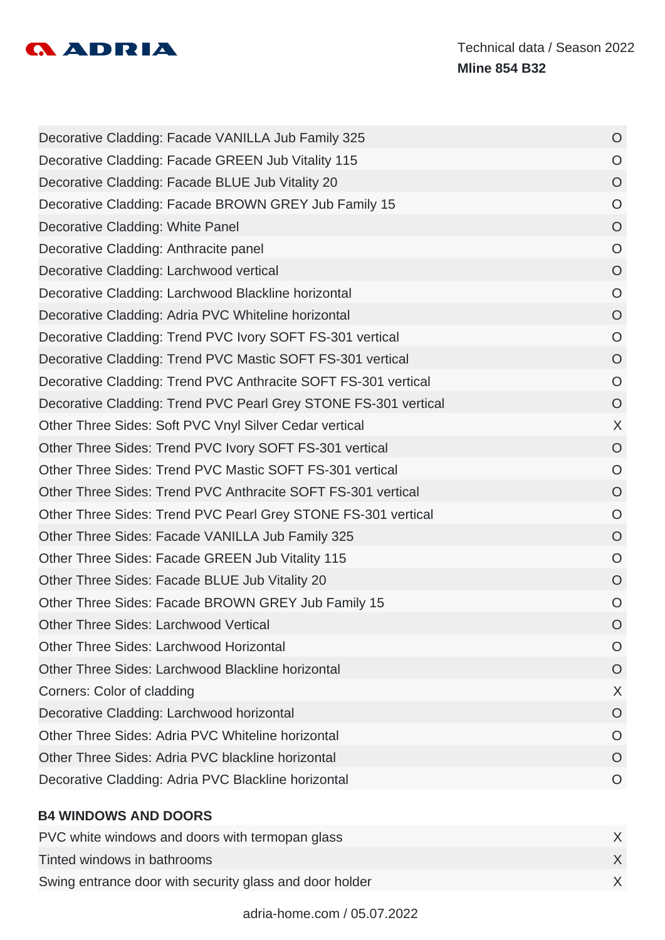

| Decorative Cladding: Facade VANILLA Jub Family 325              | $\overline{O}$ |
|-----------------------------------------------------------------|----------------|
| Decorative Cladding: Facade GREEN Jub Vitality 115              | $\circ$        |
| Decorative Cladding: Facade BLUE Jub Vitality 20                | $\overline{O}$ |
| Decorative Cladding: Facade BROWN GREY Jub Family 15            | $\circ$        |
| Decorative Cladding: White Panel                                | $\circ$        |
| Decorative Cladding: Anthracite panel                           | $\circ$        |
| Decorative Cladding: Larchwood vertical                         | $\circ$        |
| Decorative Cladding: Larchwood Blackline horizontal             | $\circ$        |
| Decorative Cladding: Adria PVC Whiteline horizontal             | $\overline{O}$ |
| Decorative Cladding: Trend PVC Ivory SOFT FS-301 vertical       | $\circ$        |
| Decorative Cladding: Trend PVC Mastic SOFT FS-301 vertical      | $\circ$        |
| Decorative Cladding: Trend PVC Anthracite SOFT FS-301 vertical  | $\overline{O}$ |
| Decorative Cladding: Trend PVC Pearl Grey STONE FS-301 vertical | $\overline{O}$ |
| Other Three Sides: Soft PVC Vnyl Silver Cedar vertical          | X              |
| Other Three Sides: Trend PVC Ivory SOFT FS-301 vertical         | $\circ$        |
| Other Three Sides: Trend PVC Mastic SOFT FS-301 vertical        | $\circ$        |
| Other Three Sides: Trend PVC Anthracite SOFT FS-301 vertical    | $\overline{O}$ |
| Other Three Sides: Trend PVC Pearl Grey STONE FS-301 vertical   | $\circ$        |
| Other Three Sides: Facade VANILLA Jub Family 325                | $\overline{O}$ |
| Other Three Sides: Facade GREEN Jub Vitality 115                | $\circ$        |
| Other Three Sides: Facade BLUE Jub Vitality 20                  | $\circ$        |
| Other Three Sides: Facade BROWN GREY Jub Family 15              | $\circ$        |
| <b>Other Three Sides: Larchwood Vertical</b>                    | O              |
| Other Three Sides: Larchwood Horizontal                         | O              |
| Other Three Sides: Larchwood Blackline horizontal               | O              |
| Corners: Color of cladding                                      | X              |
| Decorative Cladding: Larchwood horizontal                       | O              |
| Other Three Sides: Adria PVC Whiteline horizontal               | O              |
| Other Three Sides: Adria PVC blackline horizontal               | O              |
| Decorative Cladding: Adria PVC Blackline horizontal             | O              |
|                                                                 |                |
| <b>B4 WINDOWS AND DOORS</b>                                     |                |

| PVC white windows and doors with termopan glass         |  |
|---------------------------------------------------------|--|
| Tinted windows in bathrooms                             |  |
| Swing entrance door with security glass and door holder |  |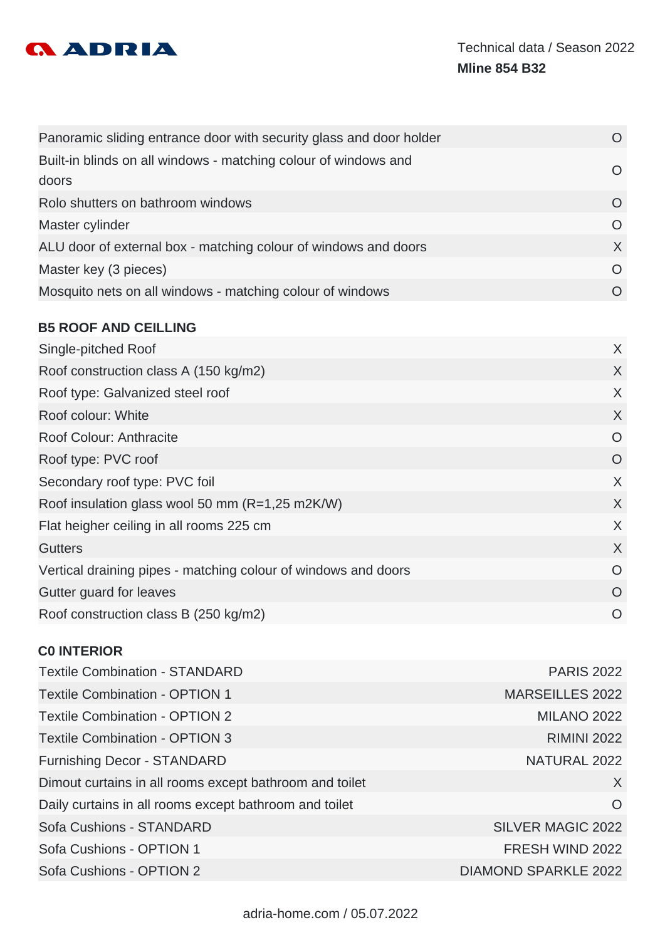

| Panoramic sliding entrance door with security glass and door holder      |          |
|--------------------------------------------------------------------------|----------|
| Built-in blinds on all windows - matching colour of windows and<br>doors | $\Omega$ |
| Rolo shutters on bathroom windows                                        | $\Omega$ |
| Master cylinder                                                          | O        |
| ALU door of external box - matching colour of windows and doors          | X        |
| Master key (3 pieces)                                                    | $\Omega$ |
| Mosquito nets on all windows - matching colour of windows                |          |

#### **B5 ROOF AND CEILLING**

| Single-pitched Roof                                            | X        |
|----------------------------------------------------------------|----------|
| Roof construction class A (150 kg/m2)                          | X        |
| Roof type: Galvanized steel roof                               | X        |
| Roof colour: White                                             | X        |
| Roof Colour: Anthracite                                        | $\Omega$ |
| Roof type: PVC roof                                            | O        |
| Secondary roof type: PVC foil                                  | X        |
| Roof insulation glass wool 50 mm (R=1,25 m2K/W)                | X        |
| Flat heigher ceiling in all rooms 225 cm                       | X        |
| <b>Gutters</b>                                                 | X        |
| Vertical draining pipes - matching colour of windows and doors | $\Omega$ |
| Gutter guard for leaves                                        | $\Omega$ |
| Roof construction class B (250 kg/m2)                          | $\Omega$ |
|                                                                |          |

#### **C0 INTERIOR**

| <b>Textile Combination - STANDARD</b>                   | <b>PARIS 2022</b>           |
|---------------------------------------------------------|-----------------------------|
| <b>Textile Combination - OPTION 1</b>                   | <b>MARSEILLES 2022</b>      |
| <b>Textile Combination - OPTION 2</b>                   | <b>MILANO 2022</b>          |
| <b>Textile Combination - OPTION 3</b>                   | <b>RIMINI 2022</b>          |
| <b>Furnishing Decor - STANDARD</b>                      | NATURAL 2022                |
| Dimout curtains in all rooms except bathroom and toilet | $\chi$                      |
| Daily curtains in all rooms except bathroom and toilet  | $\Omega$                    |
| <b>Sofa Cushions - STANDARD</b>                         | <b>SILVER MAGIC 2022</b>    |
| Sofa Cushions - OPTION 1                                | FRESH WIND 2022             |
| Sofa Cushions - OPTION 2                                | <b>DIAMOND SPARKLE 2022</b> |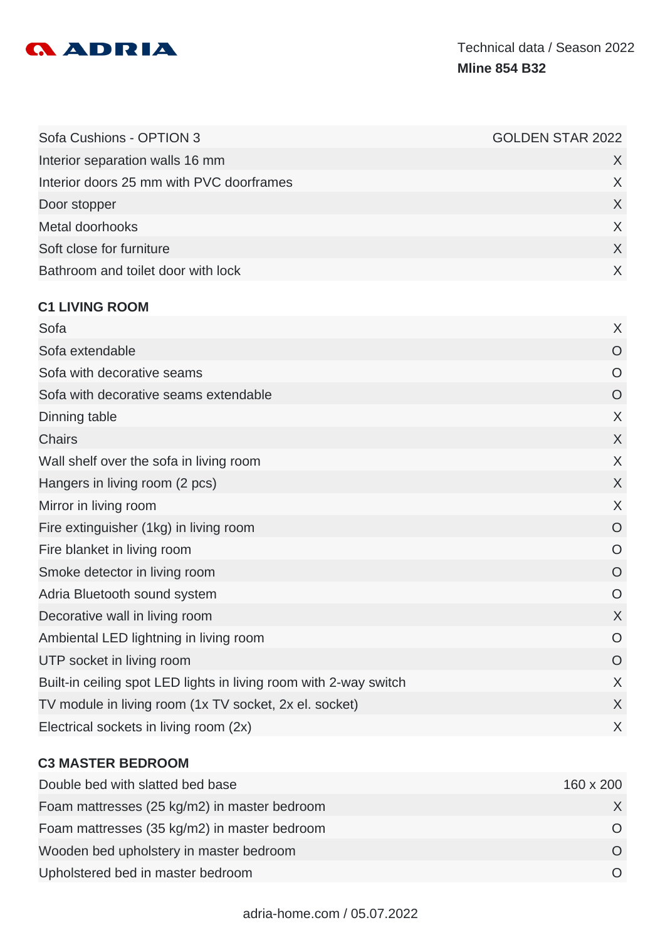

| Sofa Cushions - OPTION 3                                          | <b>GOLDEN STAR 2022</b> |
|-------------------------------------------------------------------|-------------------------|
| Interior separation walls 16 mm                                   | X                       |
| Interior doors 25 mm with PVC doorframes                          | X                       |
| Door stopper                                                      | X                       |
| Metal doorhooks                                                   | X                       |
| Soft close for furniture                                          | X                       |
| Bathroom and toilet door with lock                                | X                       |
|                                                                   |                         |
| <b>C1 LIVING ROOM</b><br>Sofa                                     | X                       |
| Sofa extendable                                                   | $\overline{O}$          |
|                                                                   |                         |
| Sofa with decorative seams                                        | $\circ$                 |
| Sofa with decorative seams extendable                             | O                       |
| Dinning table                                                     | X                       |
| <b>Chairs</b>                                                     | X                       |
| Wall shelf over the sofa in living room                           | $\sf X$                 |
| Hangers in living room (2 pcs)                                    | X                       |
| Mirror in living room                                             | X                       |
| Fire extinguisher (1kg) in living room                            | O                       |
| Fire blanket in living room                                       | $\circ$                 |
| Smoke detector in living room                                     | O                       |
| Adria Bluetooth sound system                                      | O                       |
| Decorative wall in living room                                    | X                       |
| Ambiental LED lightning in living room                            | $\circ$                 |
| UTP socket in living room                                         | $\circ$                 |
| Built-in ceiling spot LED lights in living room with 2-way switch | X                       |
| TV module in living room (1x TV socket, 2x el. socket)            | X                       |
| Electrical sockets in living room (2x)                            | X                       |
|                                                                   |                         |

#### **C3 MASTER BEDROOM**

| Double bed with slatted bed base             | 160 x 200 |
|----------------------------------------------|-----------|
| Foam mattresses (25 kg/m2) in master bedroom |           |
| Foam mattresses (35 kg/m2) in master bedroom |           |
| Wooden bed upholstery in master bedroom      | $\Omega$  |
| Upholstered bed in master bedroom            |           |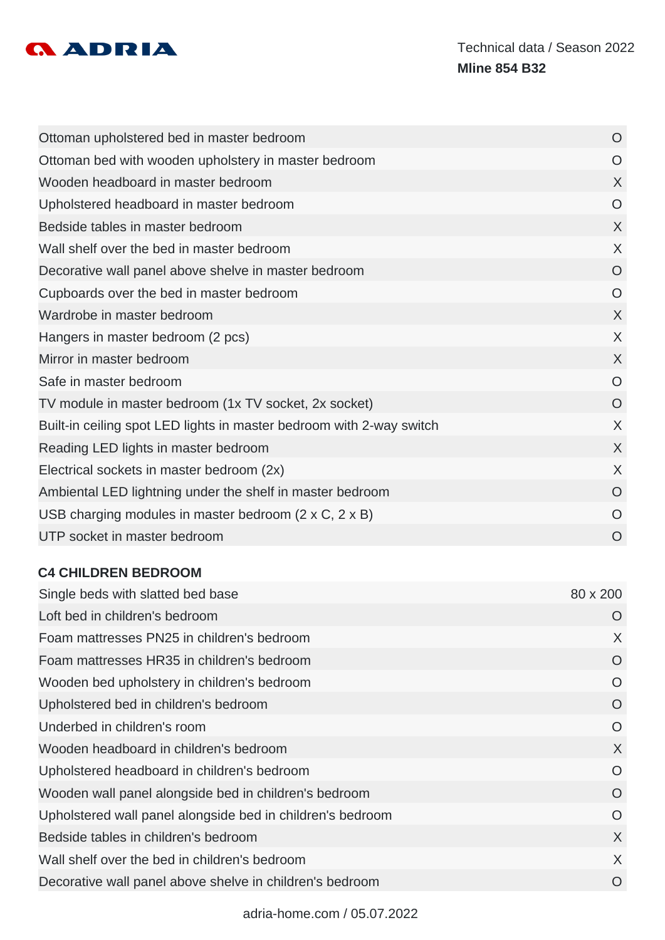

| Ottoman upholstered bed in master bedroom                            | O        |
|----------------------------------------------------------------------|----------|
| Ottoman bed with wooden upholstery in master bedroom                 | O        |
| Wooden headboard in master bedroom                                   | X        |
| Upholstered headboard in master bedroom                              | $\circ$  |
| Bedside tables in master bedroom                                     | X        |
| Wall shelf over the bed in master bedroom                            | X        |
| Decorative wall panel above shelve in master bedroom                 | O        |
| Cupboards over the bed in master bedroom                             | O        |
| Wardrobe in master bedroom                                           | X        |
| Hangers in master bedroom (2 pcs)                                    | X        |
| Mirror in master bedroom                                             | X        |
| Safe in master bedroom                                               | O        |
| TV module in master bedroom (1x TV socket, 2x socket)                | O        |
| Built-in ceiling spot LED lights in master bedroom with 2-way switch | X        |
| Reading LED lights in master bedroom                                 | X        |
| Electrical sockets in master bedroom (2x)                            | X        |
| Ambiental LED lightning under the shelf in master bedroom            | O        |
| USB charging modules in master bedroom $(2 \times C, 2 \times B)$    | $\Omega$ |
| UTP socket in master bedroom                                         | O        |

#### **C4 CHILDREN BEDROOM**

| Single beds with slatted bed base                          | 80 x 200 |
|------------------------------------------------------------|----------|
| Loft bed in children's bedroom                             | O        |
| Foam mattresses PN25 in children's bedroom                 | X        |
| Foam mattresses HR35 in children's bedroom                 | O        |
| Wooden bed upholstery in children's bedroom                | O        |
| Upholstered bed in children's bedroom                      | O        |
| Underbed in children's room                                | $\circ$  |
| Wooden headboard in children's bedroom                     | X        |
| Upholstered headboard in children's bedroom                | O        |
| Wooden wall panel alongside bed in children's bedroom      | O        |
| Upholstered wall panel alongside bed in children's bedroom | O        |
| Bedside tables in children's bedroom                       | X        |
| Wall shelf over the bed in children's bedroom              | X        |
| Decorative wall panel above shelve in children's bedroom   | $\circ$  |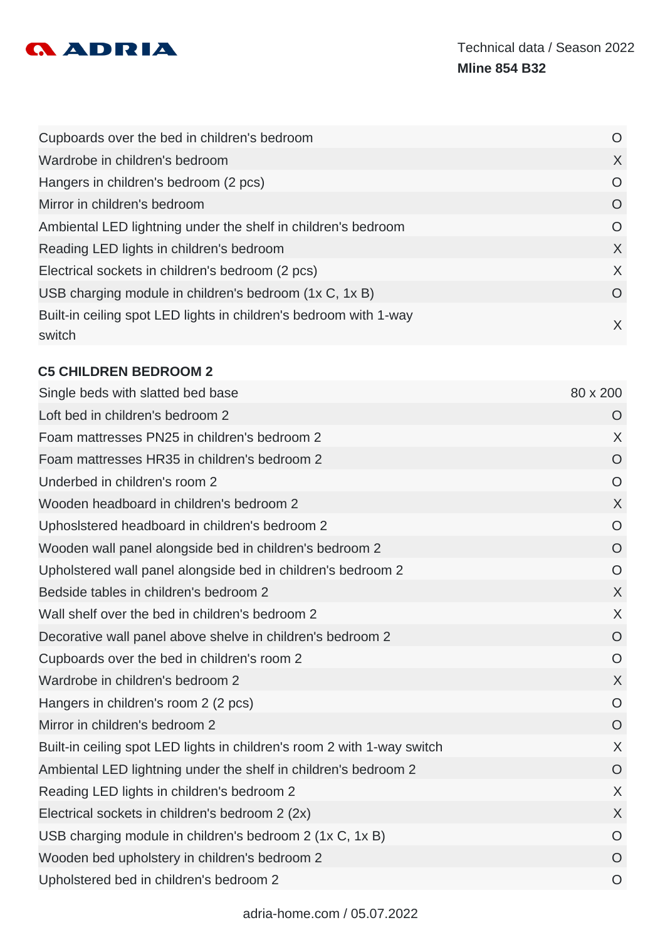

| Cupboards over the bed in children's bedroom                                | O       |
|-----------------------------------------------------------------------------|---------|
| Wardrobe in children's bedroom                                              | $\chi$  |
| Hangers in children's bedroom (2 pcs)                                       | $\circ$ |
| Mirror in children's bedroom                                                | $\circ$ |
| Ambiental LED lightning under the shelf in children's bedroom               | $\circ$ |
| Reading LED lights in children's bedroom                                    | $\chi$  |
| Electrical sockets in children's bedroom (2 pcs)                            | $\sf X$ |
| USB charging module in children's bedroom (1x C, 1x B)                      | O       |
| Built-in ceiling spot LED lights in children's bedroom with 1-way<br>switch | X       |

## **C5 CHILDREN BEDROOM 2**

| Single beds with slatted bed base                                       | 80 x 200       |
|-------------------------------------------------------------------------|----------------|
| Loft bed in children's bedroom 2                                        | O              |
| Foam mattresses PN25 in children's bedroom 2                            | $\sf X$        |
| Foam mattresses HR35 in children's bedroom 2                            | O              |
| Underbed in children's room 2                                           | $\circ$        |
| Wooden headboard in children's bedroom 2                                | $\sf X$        |
| Uphosistered headboard in children's bedroom 2                          | $\overline{O}$ |
| Wooden wall panel alongside bed in children's bedroom 2                 | $\overline{O}$ |
| Upholstered wall panel alongside bed in children's bedroom 2            | $\circ$        |
| Bedside tables in children's bedroom 2                                  | X              |
| Wall shelf over the bed in children's bedroom 2                         | $\sf X$        |
| Decorative wall panel above shelve in children's bedroom 2              | $\overline{O}$ |
| Cupboards over the bed in children's room 2                             | $\circ$        |
| Wardrobe in children's bedroom 2                                        | $\sf X$        |
| Hangers in children's room 2 (2 pcs)                                    | $\circ$        |
| Mirror in children's bedroom 2                                          | $\overline{O}$ |
| Built-in ceiling spot LED lights in children's room 2 with 1-way switch | $\sf X$        |
| Ambiental LED lightning under the shelf in children's bedroom 2         | O              |
| Reading LED lights in children's bedroom 2                              | $\sf X$        |
| Electrical sockets in children's bedroom 2 (2x)                         | $\sf X$        |
| USB charging module in children's bedroom 2 (1x C, 1x B)                | $\circ$        |
| Wooden bed upholstery in children's bedroom 2                           | $\overline{O}$ |
| Upholstered bed in children's bedroom 2                                 | $\circ$        |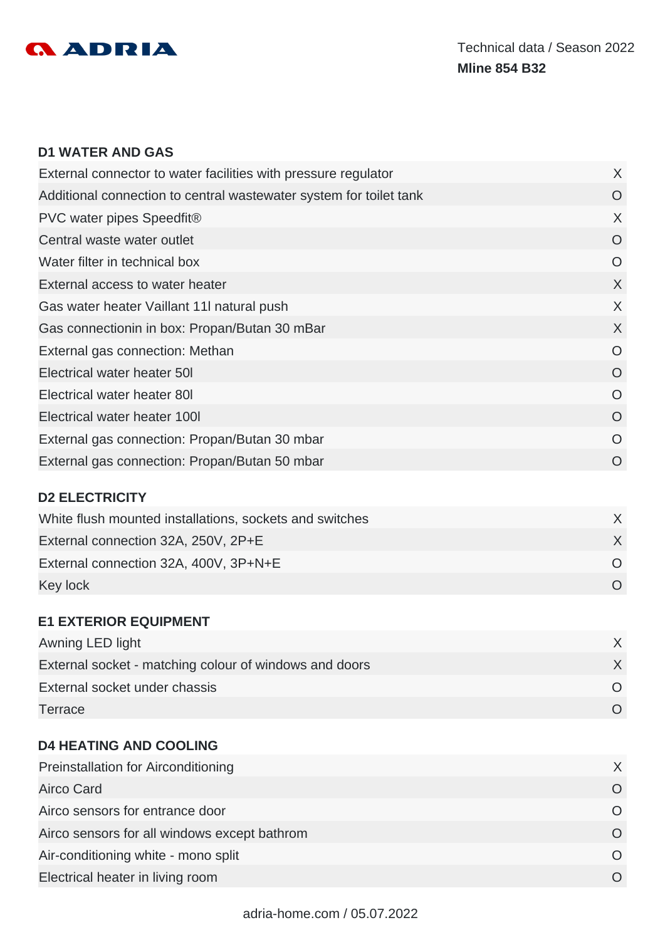

#### **D1 WATER AND GAS**

| External connector to water facilities with pressure regulator     | X        |
|--------------------------------------------------------------------|----------|
| Additional connection to central wastewater system for toilet tank | O        |
| PVC water pipes Speedfit®                                          | X        |
| Central waste water outlet                                         | O        |
| Water filter in technical box                                      | O        |
| External access to water heater                                    | X        |
| Gas water heater Vaillant 11 natural push                          | X        |
| Gas connectionin in box: Propan/Butan 30 mBar                      | X        |
| External gas connection: Methan                                    | O        |
| Electrical water heater 50I                                        | O        |
| Electrical water heater 80I                                        | $\Omega$ |
| Electrical water heater 1001                                       | $\Omega$ |
| External gas connection: Propan/Butan 30 mbar                      | O        |
| External gas connection: Propan/Butan 50 mbar                      | $\Omega$ |
|                                                                    |          |

## **D2 ELECTRICITY**

| White flush mounted installations, sockets and switches |  |
|---------------------------------------------------------|--|
| External connection 32A, 250V, 2P+E                     |  |
| External connection 32A, 400V, 3P+N+E                   |  |
| Key lock                                                |  |

#### **E1 EXTERIOR EQUIPMENT**

| Awning LED light                                       |  |
|--------------------------------------------------------|--|
| External socket - matching colour of windows and doors |  |
| External socket under chassis                          |  |
| Terrace                                                |  |

## **D4 HEATING AND COOLING**

| <b>Preinstallation for Airconditioning</b>   |  |
|----------------------------------------------|--|
| Airco Card                                   |  |
| Airco sensors for entrance door              |  |
| Airco sensors for all windows except bathrom |  |
| Air-conditioning white - mono split          |  |
| Electrical heater in living room             |  |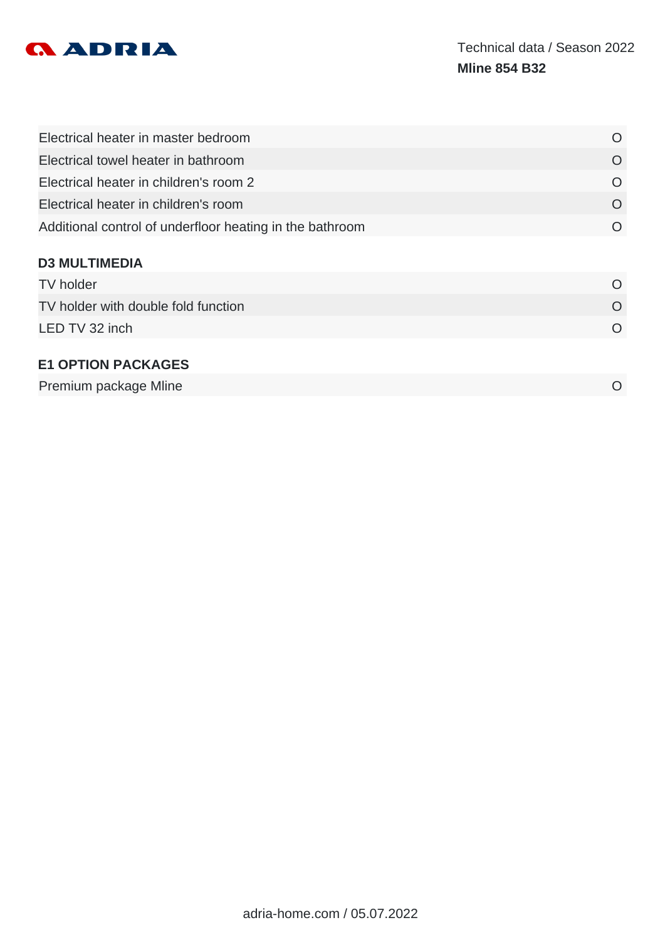

| Electrical heater in master bedroom                      | $\Omega$  |
|----------------------------------------------------------|-----------|
| Electrical towel heater in bathroom                      | O         |
| Electrical heater in children's room 2                   | $\Omega$  |
| Electrical heater in children's room                     | $\Omega$  |
| Additional control of underfloor heating in the bathroom | $\Omega$  |
| <b>D3 MULTIMEDIA</b>                                     |           |
| <b>TV</b> holder                                         | $\Omega$  |
| TV holder with double fold function                      | $\Omega$  |
| LED TV 32 inch                                           | $\Omega$  |
| <b>E1 OPTION PACKAGES</b>                                |           |
| Premium package Mline                                    | $\bigcap$ |